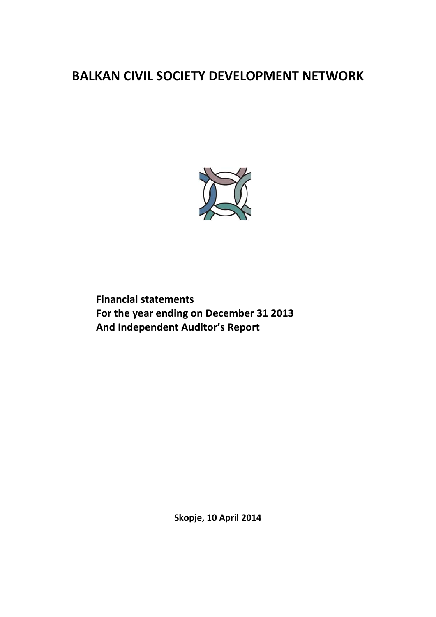

**Financial statements For the year ending on December 31 2013 And Independent Auditor's Report**

**Skopje, 10 April 2014**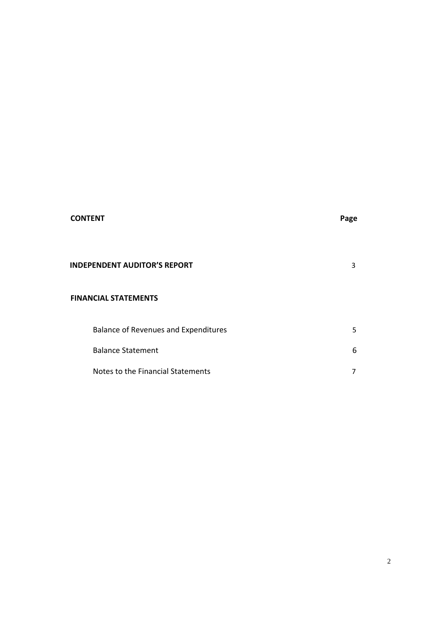# **CONTENT Page**

# **INDEPENDENT AUDITOR'S REPORT** 3

# **FINANCIAL STATEMENTS**

| Balance of Revenues and Expenditures |    |
|--------------------------------------|----|
| <b>Balance Statement</b>             | 6. |
| Notes to the Financial Statements    |    |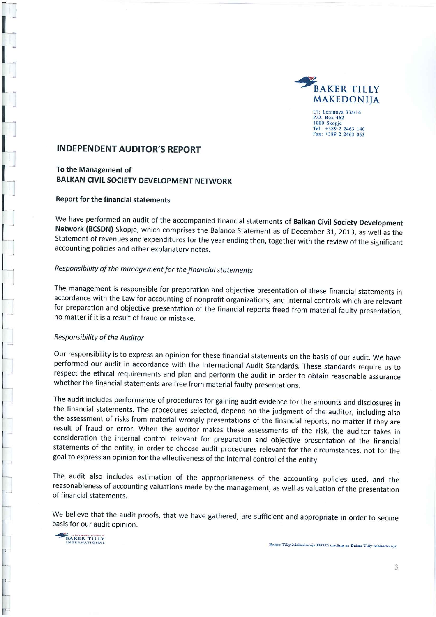

Ul: Leninova 33a/16 P.O. Box 462 1000 Skopje Tel: +389 2 2463 140<br>Fax: +389 2 2463 063

# **INDEPENDENT AUDITOR'S REPORT**

To the Management of **BALKAN CIVIL SOCIETY DEVELOPMENT NETWORK** 

#### Report for the financial statements

We have performed an audit of the accompanied financial statements of Balkan Civil Society Development Network (BCSDN) Skopje, which comprises the Balance Statement as of December 31, 2013, as well as the Statement of revenues and expenditures for the year ending then, together with the review of the significant accounting policies and other explanatory notes.

# Responsibility of the management for the financial statements

The management is responsible for preparation and objective presentation of these financial statements in accordance with the Law for accounting of nonprofit organizations, and internal controls which are relevant for preparation and objective presentation of the financial reports freed from material faulty presentation, no matter if it is a result of fraud or mistake.

#### Responsibility of the Auditor

Our responsibility is to express an opinion for these financial statements on the basis of our audit. We have performed our audit in accordance with the International Audit Standards. These standards require us to respect the ethical requirements and plan and perform the audit in order to obtain reasonable assurance whether the financial statements are free from material faulty presentations.

The audit includes performance of procedures for gaining audit evidence for the amounts and disclosures in the financial statements. The procedures selected, depend on the judgment of the auditor, including also the assessment of risks from material wrongly presentations of the financial reports, no matter if they are result of fraud or error. When the auditor makes these assessments of the risk, the auditor takes in consideration the internal control relevant for preparation and objective presentation of the financial statements of the entity, in order to choose audit procedures relevant for the circumstances, not for the goal to express an opinion for the effectiveness of the internal control of the entity.

The audit also includes estimation of the appropriateness of the accounting policies used, and the reasonableness of accounting valuations made by the management, as well as valuation of the presentation of financial statements.

We believe that the audit proofs, that we have gathered, are sufficient and appropriate in order to secure basis for our audit opinion.

BAKER TILLY

Baker Tilly Makedonija DOO trading as Baker Tilly Makedonija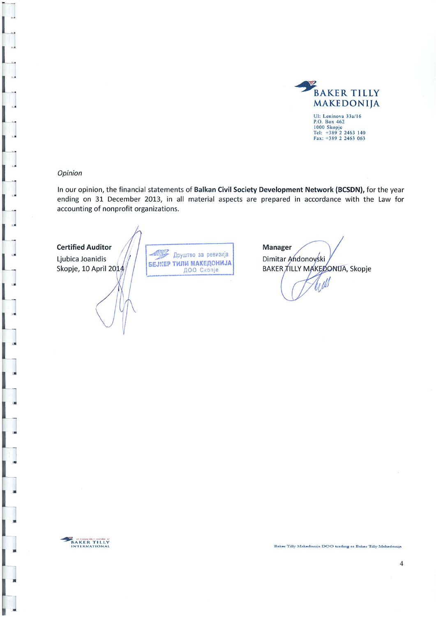

#### Opinion

In our opinion, the financial statements of Balkan Civil Society Development Network (BCSDN), for the year ending on 31 December 2013, in all material aspects are prepared in accordance with the Law for accounting of nonprofit organizations.

#### **Certified Auditor**

Ljubica Joanidis Skopje, 10 April 2014

48 Друштво за ревизија БЕЈКЕР ТИЛИ МАКЕДОНИЈА ДОО Скопје

**Manager** Dimitar Andonovski BAKER TILLY MAKEDONIJA, Skopje



Baker Tilly Makedonija DOO trading as Baker Tilly Makedonija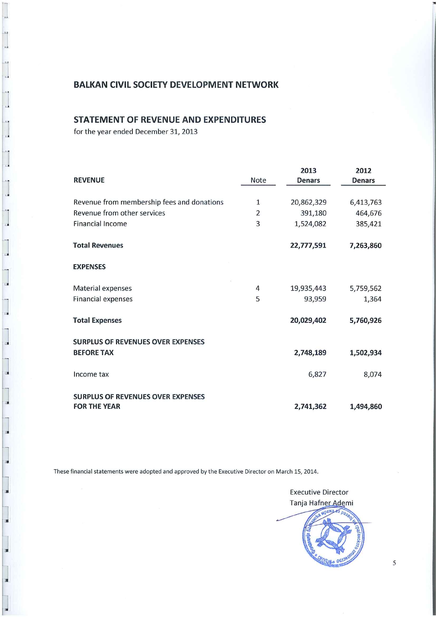# **STATEMENT OF REVENUE AND EXPENDITURES**

for the year ended December 31, 2013

 $\mathbf{u}$ 

 $\mathbf{u}$ 

w

œ

w

|                                                                 |                | 2013          | 2012          |
|-----------------------------------------------------------------|----------------|---------------|---------------|
| <b>REVENUE</b>                                                  | Note           | <b>Denars</b> | <b>Denars</b> |
|                                                                 |                |               |               |
| Revenue from membership fees and donations                      | 1              | 20,862,329    | 6,413,763     |
| Revenue from other services                                     | $\overline{2}$ | 391,180       | 464,676       |
| <b>Financial Income</b>                                         | 3              | 1,524,082     | 385,421       |
| <b>Total Revenues</b>                                           |                | 22,777,591    | 7,263,860     |
| <b>EXPENSES</b>                                                 |                |               |               |
| Material expenses                                               | 4              | 19,935,443    | 5,759,562     |
| <b>Financial expenses</b>                                       | 5              | 93,959        | 1,364         |
| <b>Total Expenses</b>                                           |                | 20,029,402    | 5,760,926     |
| <b>SURPLUS OF REVENUES OVER EXPENSES</b>                        |                |               |               |
| <b>BEFORE TAX</b>                                               |                | 2,748,189     | 1,502,934     |
| Income tax                                                      |                | 6,827         | 8,074         |
| <b>SURPLUS OF REVENUES OVER EXPENSES</b><br><b>FOR THE YEAR</b> |                | 2,741,362     | 1,494,860     |

These financial statements were adopted and approved by the Executive Director on March 15, 2014.

**Executive Director** Tanja Hafner Ademi

5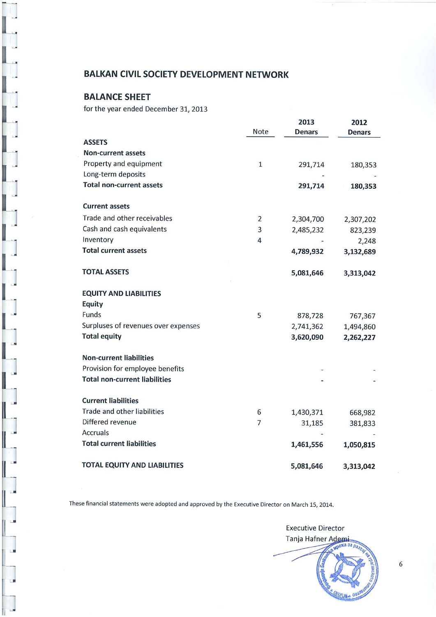# **BALANCE SHEET**

for the year ended December 31, 2013

|                                      |                | 2013          | 2012      |
|--------------------------------------|----------------|---------------|-----------|
|                                      | Note           | <b>Denars</b> | Denars    |
| <b>ASSETS</b>                        |                |               |           |
| <b>Non-current assets</b>            |                |               |           |
| Property and equipment               | $\mathbf{1}$   | 291,714       | 180,353   |
| Long-term deposits                   |                |               |           |
| <b>Total non-current assets</b>      |                | 291,714       | 180,353   |
| <b>Current assets</b>                |                |               |           |
| Trade and other receivables          | $\overline{2}$ | 2,304,700     | 2,307,202 |
| Cash and cash equivalents            | 3              | 2,485,232     | 823,239   |
| Inventory                            | $\overline{4}$ |               | 2,248     |
| <b>Total current assets</b>          |                | 4,789,932     | 3,132,689 |
| <b>TOTAL ASSETS</b>                  |                | 5,081,646     | 3,313,042 |
| <b>EQUITY AND LIABILITIES</b>        |                |               |           |
| <b>Equity</b>                        |                |               |           |
| Funds                                | 5              | 878,728       | 767,367   |
| Surpluses of revenues over expenses  |                | 2,741,362     | 1,494,860 |
| <b>Total equity</b>                  |                | 3,620,090     | 2,262,227 |
| <b>Non-current liabilities</b>       |                |               |           |
| Provision for employee benefits      |                |               |           |
| <b>Total non-current liabilities</b> |                |               |           |
| <b>Current liabilities</b>           |                |               |           |
| Trade and other liabilities          | 6              | 1,430,371     | 668,982   |
| Differed revenue                     | 7              | 31,185        | 381,833   |
| <b>Accruals</b>                      |                |               |           |
| <b>Total current liabilities</b>     |                | 1,461,556     | 1,050,815 |
| <b>TOTAL EQUITY AND LIABILITIES</b>  |                | 5,081,646     | 3,313,042 |

These financial statements were adopted and approved by the Executive Director on March 15, 2014.

**Executive Director** Tanja Hafner Ademi  $a$  3a  $\rho_a$ 

 $\sqrt{6}$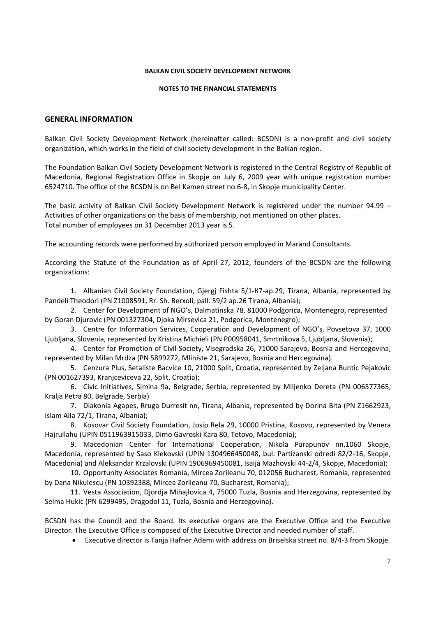#### **NOTES TO THE FINANCIAL STATEMENTS**

#### **GENERAL INFORMATION**

Balkan Civil Society Development Network (hereinafter called: BCSDN) is a non-profit and civil society organization, which works in the field of civil society development in the Balkan region.

The Foundation Balkan Civil Society Development Network is registered in the Central Registry of Republic of Macedonia, Regional Registration Office in Skopje on July 6, 2009 year with unique registration number 6524710. The office of the BCSDN is on Bel Kamen street no.6‐8, in Skopje municipality Center.

The basic activity of Balkan Civil Society Development Network is registered under the number 94.99 – Activities of other organizations on the basis of membership, not mentioned on other places. Total number of employees on 31 December 2013 year is 5.

The accounting records were performed by authorized person employed in Marand Consultants.

According the Statute of the Foundation as of April 27, 2012, founders of the BCSDN are the following organizations:

1. Albanian Civil Society Foundation, Gjergj Fishta 5/1‐К7‐ap.29, Tirana, Albania, represented by Pandeli Theodori (PN Z1008591, Rr. Sh. Berxoli, pall. 59/2 ap.26 Tirana, Albania);

2. Center for Development of NGO's, Dalmatinska 78, 81000 Podgorica, Montenegro, represented by Goran Djurovic (PN 001327304, Djoka Mirsevica 21, Podgorica, Montenegro);

3. Centre for Information Services, Cooperation and Development of NGO's, Povsetova 37, 1000 Ljubljana, Slovenia, represented by Kristina Michieli (PN P00958041, Smrtnikova 5, Ljubljana, Slovenia);

4. Center for Promotion of Civil Society, Visegradska 26, 71000 Sarajevo, Bosnia and Hercegovina, represented by Milan Mrdza (PN 5899272, Mliniste 21, Sarajevo, Bosnia and Hercegovina).

5. Cenzura Plus, Setaliste Bacvice 10, 21000 Split, Croatia, represented by Zeljana Buntic Pejakovic (PN 001627393, Kranjceviceva 22, Split, Croatia);

6. Civic Initiatives, Simina 9а, Belgrade, Serbia, represented by Miljenko Dereta (PN 006577365, Kralja Petra 80, Belgrade, Serbia)

7. Diakonia Agapes, Rruga Durresit nn, Tirana, Albania, represented by Dorina Bita (PN Z1662923, Islam Alla 72/1, Tirana, Albania);

8. Kosovar Civil Society Foundation, Josip Rela 29, 10000 Pristina, Kosovo, represented by Venera Hajrullahu (UPIN 0511963915033, Dimo Gavroski Kara 80, Tetovo, Macedonia);

9. Macedonian Center for International Cooperation, Nikola Parapunov nn,1060 Skopje, Macedonia, represented by Saso Klekovski (UPIN 1304966450048, bul. Partizanski odredi 82/2‐16, Skopje, Macedonia) and Aleksandar Krzalovski (UPIN 1906969450081, Isaija Mazhovski 44‐2/4, Skopje, Macedonia);

10. Opportunity Associates Romania, Mircea Zorileanu 70, 012056 Bucharest, Romania, represented by Dana Nikulescu (PN 10392388, Mircea Zorileanu 70, Bucharest, Romania);

11. Vesta Association, Djordja Mihajlovica 4, 75000 Tuzla, Bosnia and Herzegovina, represented by Selma Hukic (PN 6299495, Dragodol 11, Tuzla, Bosnia and Herzegovina).

BCSDN has the Council and the Board. Its executive organs are the Executive Office and the Executive Director. The Executive Office is composed of the Executive Director and needed number of staff.

Executive director is Tanja Hafner Ademi with address on Briselska street no. 8/4‐3 from Skopje.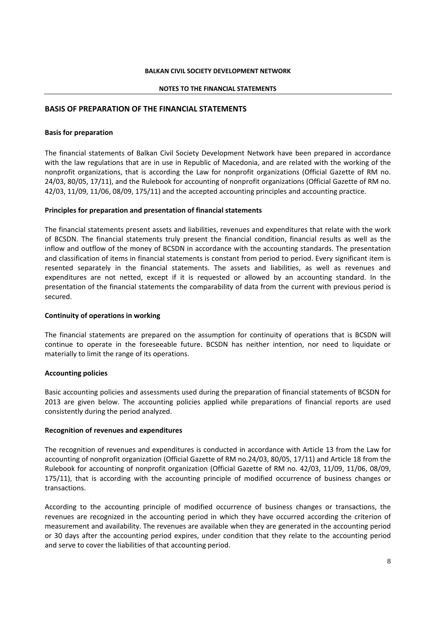#### **NOTES TO THE FINANCIAL STATEMENTS**

#### **BASIS OF PREPARATION OF THE FINANCIAL STATEMENTS**

#### **Basis for preparation**

The financial statements of Balkan Civil Society Development Network have been prepared in accordance with the law regulations that are in use in Republic of Macedonia, and are related with the working of the nonprofit organizations, that is according the Law for nonprofit organizations (Official Gazette of RM no. 24/03, 80/05, 17/11), and the Rulebook for accounting of nonprofit organizations (Official Gazette of RM no. 42/03, 11/09, 11/06, 08/09, 175/11) and the accepted accounting principles and accounting practice.

#### **Principles for preparation and presentation of financial statements**

The financial statements present assets and liabilities, revenues and expenditures that relate with the work of BCSDN. The financial statements truly present the financial condition, financial results as well as the inflow and outflow of the money of BCSDN in accordance with the accounting standards. The presentation and classification of items in financial statements is constant from period to period. Every significant item is resented separately in the financial statements. The assets and liabilities, as well as revenues and expenditures are not netted, except if it is requested or allowed by an accounting standard. In the presentation of the financial statements the comparability of data from the current with previous period is secured.

#### **Continuity of operations in working**

The financial statements are prepared on the assumption for continuity of operations that is BCSDN will continue to operate in the foreseeable future. BCSDN has neither intention, nor need to liquidate or materially to limit the range of its operations.

#### **Accounting policies**

Basic accounting policies and assessments used during the preparation of financial statements of BCSDN for 2013 are given below. The accounting policies applied while preparations of financial reports are used consistently during the period analyzed.

#### **Recognition of revenues and expenditures**

The recognition of revenues and expenditures is conducted in accordance with Article 13 from the Law for accounting of nonprofit organization (Official Gazette of RM no.24/03, 80/05, 17/11) and Article 18 from the Rulebook for accounting of nonprofit organization (Official Gazette of RM no. 42/03, 11/09, 11/06, 08/09, 175/11), that is according with the accounting principle of modified occurrence of business changes or transactions.

According to the accounting principle of modified occurrence of business changes or transactions, the revenues are recognized in the accounting period in which they have occurred according the criterion of measurement and availability. The revenues are available when they are generated in the accounting period or 30 days after the accounting period expires, under condition that they relate to the accounting period and serve to cover the liabilities of that accounting period.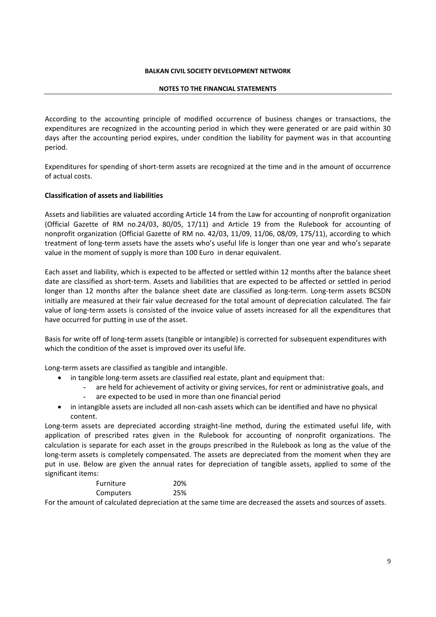#### **NOTES TO THE FINANCIAL STATEMENTS**

According to the accounting principle of modified occurrence of business changes or transactions, the expenditures are recognized in the accounting period in which they were generated or are paid within 30 days after the accounting period expires, under condition the liability for payment was in that accounting period.

Expenditures for spending of short‐term assets are recognized at the time and in the amount of occurrence of actual costs.

#### **Classification of assets and liabilities**

Assets and liabilities are valuated according Article 14 from the Law for accounting of nonprofit organization (Official Gazette of RM no.24/03, 80/05, 17/11) and Article 19 from the Rulebook for accounting of nonprofit organization (Official Gazette of RM no. 42/03, 11/09, 11/06, 08/09, 175/11), according to which treatment of long‐term assets have the assets who's useful life is longer than one year and who's separate value in the moment of supply is more than 100 Euro in denar equivalent.

Each asset and liability, which is expected to be affected or settled within 12 months after the balance sheet date are classified as short‐term. Assets and liabilities that are expected to be affected or settled in period longer than 12 months after the balance sheet date are classified as long-term. Long-term assets BCSDN initially are measured at their fair value decreased for the total amount of depreciation calculated. The fair value of long‐term assets is consisted of the invoice value of assets increased for all the expenditures that have occurred for putting in use of the asset.

Basis for write off of long‐term assets (tangible or intangible) is corrected for subsequent expenditures with which the condition of the asset is improved over its useful life.

Long‐term assets are classified as tangible and intangible.

- in tangible long‐term assets are classified real estate, plant and equipment that:
	- are held for achievement of activity or giving services, for rent or administrative goals, and
	- are expected to be used in more than one financial period
- in intangible assets are included all non‐cash assets which can be identified and have no physical content.

Long-term assets are depreciated according straight-line method, during the estimated useful life, with application of prescribed rates given in the Rulebook for accounting of nonprofit organizations. The calculation is separate for each asset in the groups prescribed in the Rulebook as long as the value of the long-term assets is completely compensated. The assets are depreciated from the moment when they are put in use. Below are given the annual rates for depreciation of tangible assets, applied to some of the significant items:

| <b>Furniture</b> | 20% |
|------------------|-----|
| Computers        | 25% |
|                  |     |

For the amount of calculated depreciation at the same time are decreased the assets and sources of assets.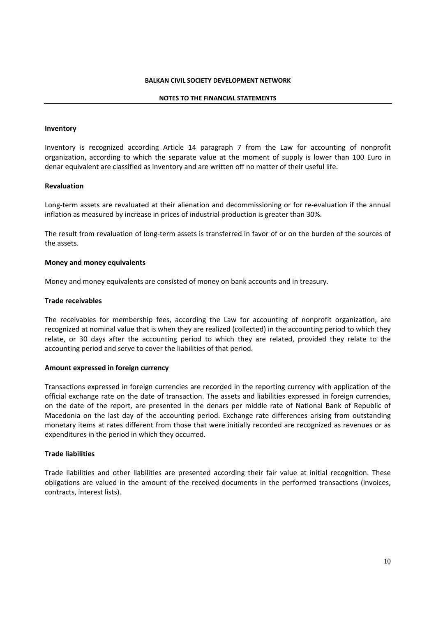#### **NOTES TO THE FINANCIAL STATEMENTS**

#### **Inventory**

Inventory is recognized according Article 14 paragraph 7 from the Law for accounting of nonprofit organization, according to which the separate value at the moment of supply is lower than 100 Euro in denar equivalent are classified as inventory and are written off no matter of their useful life.

#### **Revaluation**

Long-term assets are revaluated at their alienation and decommissioning or for re-evaluation if the annual inflation as measured by increase in prices of industrial production is greater than 30%.

The result from revaluation of long-term assets is transferred in favor of or on the burden of the sources of the assets.

#### **Money and money equivalents**

Money and money equivalents are consisted of money on bank accounts and in treasury.

#### **Trade receivables**

The receivables for membership fees, according the Law for accounting of nonprofit organization, are recognized at nominal value that is when they are realized (collected) in the accounting period to which they relate, or 30 days after the accounting period to which they are related, provided they relate to the accounting period and serve to cover the liabilities of that period.

#### **Amount expressed in foreign currency**

Transactions expressed in foreign currencies are recorded in the reporting currency with application of the official exchange rate on the date of transaction. The assets and liabilities expressed in foreign currencies, on the date of the report, are presented in the denars per middle rate of National Bank of Republic of Macedonia on the last day of the accounting period. Exchange rate differences arising from outstanding monetary items at rates different from those that were initially recorded are recognized as revenues or as expenditures in the period in which they occurred.

#### **Trade liabilities**

Trade liabilities and other liabilities are presented according their fair value at initial recognition. These obligations are valued in the amount of the received documents in the performed transactions (invoices, contracts, interest lists).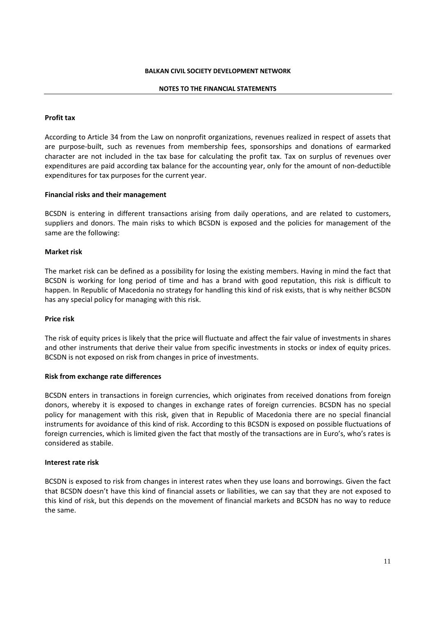#### **NOTES TO THE FINANCIAL STATEMENTS**

#### **Profit tax**

According to Article 34 from the Law on nonprofit organizations, revenues realized in respect of assets that are purpose‐built, such as revenues from membership fees, sponsorships and donations of earmarked character are not included in the tax base for calculating the profit tax. Tax on surplus of revenues over expenditures are paid according tax balance for the accounting year, only for the amount of non-deductible expenditures for tax purposes for the current year.

#### **Financial risks and their management**

BCSDN is entering in different transactions arising from daily operations, and are related to customers, suppliers and donors. The main risks to which BCSDN is exposed and the policies for management of the same are the following:

#### **Market risk**

The market risk can be defined as a possibility for losing the existing members. Having in mind the fact that BCSDN is working for long period of time and has a brand with good reputation, this risk is difficult to happen. In Republic of Macedonia no strategy for handling this kind of risk exists, that is why neither BCSDN has any special policy for managing with this risk.

#### **Price risk**

The risk of equity prices is likely that the price will fluctuate and affect the fair value of investments in shares and other instruments that derive their value from specific investments in stocks or index of equity prices. BCSDN is not exposed on risk from changes in price of investments.

#### **Risk from exchange rate differences**

BCSDN enters in transactions in foreign currencies, which originates from received donations from foreign donors, whereby it is exposed to changes in exchange rates of foreign currencies. BCSDN has no special policy for management with this risk, given that in Republic of Macedonia there are no special financial instruments for avoidance of this kind of risk. According to this BCSDN is exposed on possible fluctuations of foreign currencies, which is limited given the fact that mostly of the transactions are in Euro's, who's rates is considered as stabile.

#### **Interest rate risk**

BCSDN is exposed to risk from changes in interest rates when they use loans and borrowings. Given the fact that BCSDN doesn't have this kind of financial assets or liabilities, we can say that they are not exposed to this kind of risk, but this depends on the movement of financial markets and BCSDN has no way to reduce the same.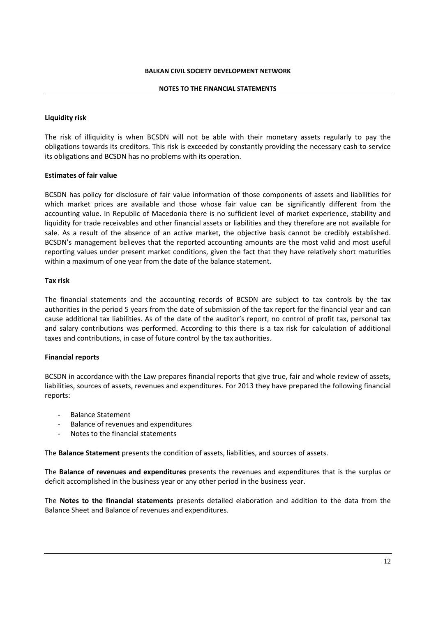#### **NOTES TO THE FINANCIAL STATEMENTS**

#### **Liquidity risk**

The risk of illiquidity is when BCSDN will not be able with their monetary assets regularly to pay the obligations towards its creditors. This risk is exceeded by constantly providing the necessary cash to service its obligations and BCSDN has no problems with its operation.

#### **Estimates of fair value**

BCSDN has policy for disclosure of fair value information of those components of assets and liabilities for which market prices are available and those whose fair value can be significantly different from the accounting value. In Republic of Macedonia there is no sufficient level of market experience, stability and liquidity for trade receivables and other financial assets or liabilities and they therefore are not available for sale. As a result of the absence of an active market, the objective basis cannot be credibly established. BCSDN's management believes that the reported accounting amounts are the most valid and most useful reporting values under present market conditions, given the fact that they have relatively short maturities within a maximum of one year from the date of the balance statement.

#### **Tax risk**

The financial statements and the accounting records of BCSDN are subject to tax controls by the tax authorities in the period 5 years from the date of submission of the tax report for the financial year and can cause additional tax liabilities. As of the date of the auditor's report, no control of profit tax, personal tax and salary contributions was performed. According to this there is a tax risk for calculation of additional taxes and contributions, in case of future control by the tax authorities.

#### **Financial reports**

BCSDN in accordance with the Law prepares financial reports that give true, fair and whole review of assets, liabilities, sources of assets, revenues and expenditures. For 2013 they have prepared the following financial reports:

- Balance Statement
- Balance of revenues and expenditures
- Notes to the financial statements

The **Balance Statement** presents the condition of assets, liabilities, and sources of assets.

The **Balance of revenues and expenditures** presents the revenues and expenditures that is the surplus or deficit accomplished in the business year or any other period in the business year.

The **Notes to the financial statements** presents detailed elaboration and addition to the data from the Balance Sheet and Balance of revenues and expenditures.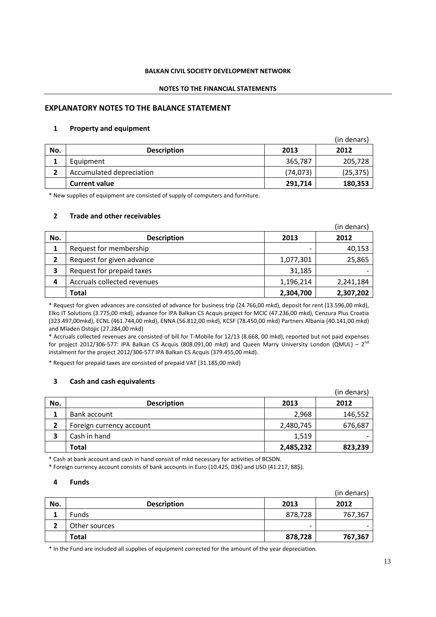#### **NOTES TO THE FINANCIAL STATEMENTS**

#### **EXPLANATORY NOTES TO THE BALANCE STATEMENT**

#### **1 Property and equipment**

|     |                          |           | (in denars) |
|-----|--------------------------|-----------|-------------|
| No. | <b>Description</b>       | 2013      | 2012        |
|     | Equipment                | 365,787   | 205,728     |
|     | Accumulated depreciation | (74, 073) | (25, 375)   |
|     | <b>Current value</b>     | 291,714   | 180,353     |

\* New supplies of equipment are consisted of supply of computers and furniture.

#### **2 Trade and other receivables**

|     |                             |           | (in denars) |
|-----|-----------------------------|-----------|-------------|
| No. | <b>Description</b>          | 2013      | 2012        |
|     | Request for membership      |           | 40,153      |
| 2   | Request for given advance   | 1,077,301 | 25,865      |
| 3   | Request for prepaid taxes   | 31,185    |             |
| 4   | Accruals collected revenues | 1,196,214 | 2,241,184   |
|     | <b>Total</b>                | 2,304,700 | 2,307,202   |

\* Request for given advances are consisted of advance for business trip (24.766,00 mkd), deposit for rent (13.596,00 mkd), Elko IT Solutions (3.775,00 mkd), advance for IPA Balkan CS Acquis project for MCIC (47.236,00 mkd), Cenzura Plus Croatia (323.497,00mkd), ECNL (461.744,00 mkd), ENNA (56.812,00 mkd), KCSF (78.450,00 mkd) Partners Albania (40.141,00 mkd) and Mladen Ostojic (27.284,00 mkd)

\* Accruals collected revenues are consisted of bill for T‐Mobile for 12/13 (8.668, 00 mkd), reported but not paid expenses for project 2012/306-577: IPA Balkan CS Acquis (808.091,00 mkd) and Queen Marry University London (QMUL) – 2<sup>nd</sup> instalment for the project 2012/306‐577 IPA Balkan CS Acquis (379.455,00 mkd).

\* Request for prepaid taxes are consisted of prepaid VAT (31.185,00 mkd)

#### **3 Cash and cash equivalents**

|     |                          |           | (in denars) |
|-----|--------------------------|-----------|-------------|
| No. | <b>Description</b>       | 2013      | 2012        |
|     | Bank account             | 2,968     | 146,552     |
|     | Foreign currency account | 2,480,745 | 676,687     |
|     | Cash in hand             | 1,519     |             |
|     | Total                    | 2,485,232 | 823,239     |

\* Cash at bank account and cash in hand consist of mkd necessary for activities of BCSDN.

\* Foreign currency account consists of bank accounts in Euro (10.425, 03€) and USD (41.217, 88\$).

#### **4 Funds**

|     |                    |         | (in denars) |
|-----|--------------------|---------|-------------|
| No. | <b>Description</b> | 2013    | 2012        |
|     | <b>Funds</b>       | 878,728 | 767,367     |
|     | Other sources      | -       |             |
|     | <b>Total</b>       | 878,728 | 767,367     |

\* In the Fund are included all supplies of equipment corrected for the amount of the year depreciation.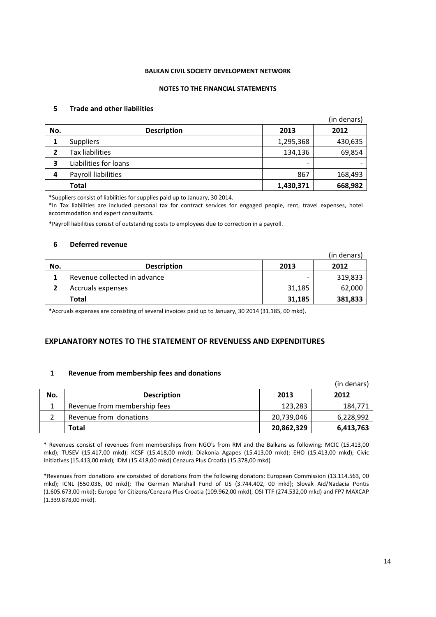#### **NOTES TO THE FINANCIAL STATEMENTS**

#### **5 Trade and other liabilities**

|     |                       |           | (in denars) |
|-----|-----------------------|-----------|-------------|
| No. | <b>Description</b>    | 2013      | 2012        |
| 1   | <b>Suppliers</b>      | 1,295,368 | 430,635     |
| 2   | Tax liabilities       | 134,136   | 69,854      |
| 3   | Liabilities for loans | -         |             |
| 4   | Payroll liabilities   | 867       | 168,493     |
|     | <b>Total</b>          | 1,430,371 | 668,982     |

\*Suppliers consist of liabilities for supplies paid up to January, 30 2014.

\*In Tax liabilities are included personal tax for contract services for engaged people, rent, travel expenses, hotel accommodation and expert consultants.

\*Payroll liabilities consist of outstanding costs to employees due to correction in a payroll.

#### **6 Deferred revenue**

|     |                              |        | (in denars) |
|-----|------------------------------|--------|-------------|
| No. | <b>Description</b>           | 2013   | 2012        |
| 1   | Revenue collected in advance | -      | 319,833     |
| 2   | Accruals expenses            | 31,185 | 62,000      |
|     | <b>Total</b>                 | 31,185 | 381,833     |

\*Accruals expenses are consisting of several invoices paid up to January, 30 2014 (31.185, 00 mkd).

#### **EXPLANATORY NOTES TO THE STATEMENT OF REVENUESS AND EXPENDITURES**

#### **1 Revenue from membership fees and donations**

|     |                              |            | (in denars) |
|-----|------------------------------|------------|-------------|
| No. | <b>Description</b>           | 2013       | 2012        |
|     | Revenue from membership fees | 123,283    | 184,771     |
|     | Revenue from donations       | 20,739,046 | 6,228,992   |
|     | Total                        | 20,862,329 | 6,413,763   |

\* Revenues consist of revenues from memberships from NGO's from RM and the Balkans as following: MCIC (15.413,00 mkd); TUSEV (15.417,00 mkd); KCSF (15.418,00 mkd); Diakonia Agapes (15.413,00 mkd); EHO (15.413,00 mkd); Civic Initiatives (15.413,00 mkd); IDM (15.418,00 mkd) Cenzura Plus Croatia (15.378,00 mkd)

\*Revenues from donations are consisted of donations from the following donators: European Commission (13.114.563, 00 mkd); ICNL (550.036, 00 mkd); The German Marshall Fund of US (3.744.402, 00 mkd); Slovak Aid/Nadacia Pontis (1.605.673,00 mkd); Europe for Citizens/Cenzura Plus Croatia (109.962,00 mkd), OSI TTF (274.532,00 mkd) and FP7 MAXCAP (1.339.878,00 mkd).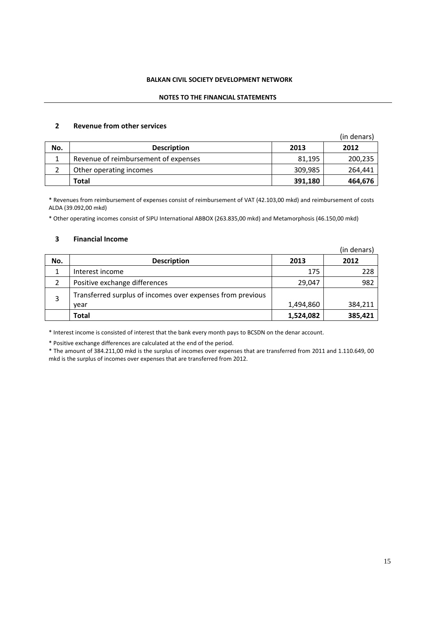#### **NOTES TO THE FINANCIAL STATEMENTS**

#### **2 Revenue from other services**

|     |                                      |         | (in denars) |
|-----|--------------------------------------|---------|-------------|
| No. | <b>Description</b>                   | 2013    | 2012        |
|     | Revenue of reimbursement of expenses | 81,195  | 200,235     |
|     | Other operating incomes              | 309,985 | 264.441     |
|     | Total                                | 391,180 | 464,676     |

\* Revenues from reimbursement of expenses consist of reimbursement of VAT (42.103,00 mkd) and reimbursement of costs ALDA (39.092,00 mkd)

\* Other operating incomes consist of SIPU International ABBOX (263.835,00 mkd) and Metamorphosis (46.150,00 mkd)

#### **3 Financial Income**

|     |                                                                    |           | (in denars) |
|-----|--------------------------------------------------------------------|-----------|-------------|
| No. | <b>Description</b>                                                 | 2013      | 2012        |
| 1   | Interest income                                                    | 175       | 228         |
| 2   | Positive exchange differences                                      | 29,047    | 982         |
| 3   | Transferred surplus of incomes over expenses from previous<br>vear | 1,494,860 | 384,211     |
|     | Total                                                              | 1,524,082 | 385,421     |

\* Interest income is consisted of interest that the bank every month pays to BCSDN on the denar account.

\* Positive exchange differences are calculated at the end of the period.

\* The amount of 384.211,00 mkd is the surplus of incomes over expenses that are transferred from 2011 and 1.110.649, 00 mkd is the surplus of incomes over expenses that are transferred from 2012.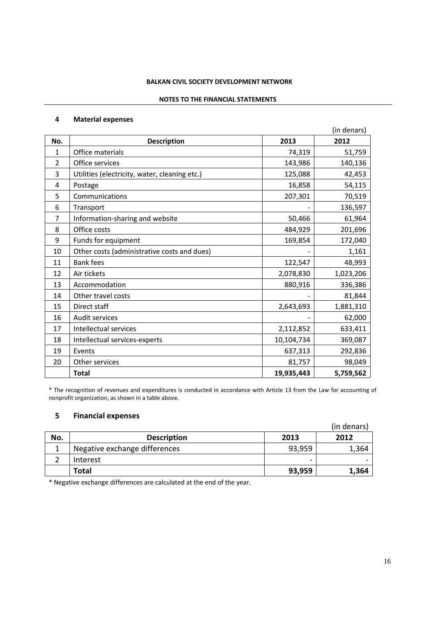#### **NOTES TO THE FINANCIAL STATEMENTS**

#### **Material expenses**

|                |                                               |            | (in denars) |
|----------------|-----------------------------------------------|------------|-------------|
| No.            | <b>Description</b>                            | 2013       | 2012        |
| 1              | Office materials                              | 74,319     | 51,759      |
| 2              | Office services                               | 143,986    | 140,136     |
| 3              | Utilities (electricity, water, cleaning etc.) | 125,088    | 42,453      |
| 4              | Postage                                       | 16,858     | 54,115      |
| 5              | Communications                                | 207,301    | 70,519      |
| 6              | Transport                                     |            | 136,597     |
| $\overline{7}$ | Information-sharing and website               | 50,466     | 61,964      |
| 8              | Office costs                                  | 484,929    | 201,696     |
| 9              | Funds for equipment                           | 169,854    | 172,040     |
| 10             | Other costs (administrative costs and dues)   |            | 1,161       |
| 11             | <b>Bank fees</b>                              | 122,547    | 48,993      |
| 12             | Air tickets                                   | 2,078,830  | 1,023,206   |
| 13             | Accommodation                                 | 880,916    | 336,386     |
| 14             | Other travel costs                            |            | 81,844      |
| 15             | Direct staff                                  | 2,643,693  | 1,881,310   |
| 16             | Audit services                                |            | 62,000      |
| 17             | Intellectual services                         | 2,112,852  | 633,411     |
| 18             | Intellectual services-experts                 | 10,104,734 | 369,087     |
| 19             | Events                                        | 637,313    | 292,836     |
| 20             | Other services                                | 81,757     | 98,049      |
|                | <b>Total</b>                                  | 19,935,443 | 5,759,562   |

\* The recognition of revenues and expenditures is conducted in accordance with Article 13 from the Law for accounting of nonprofit organization, as shown in a table above.

### **Financial expenses**

|     |                               |        | (in denars) |
|-----|-------------------------------|--------|-------------|
| No. | <b>Description</b>            | 2013   | 2012        |
|     | Negative exchange differences | 93,959 | 1,364       |
|     | Interest                      | -      |             |
|     | Total                         | 93,959 | 1,364       |

\* Negative exchange differences are calculated at the end of the year.